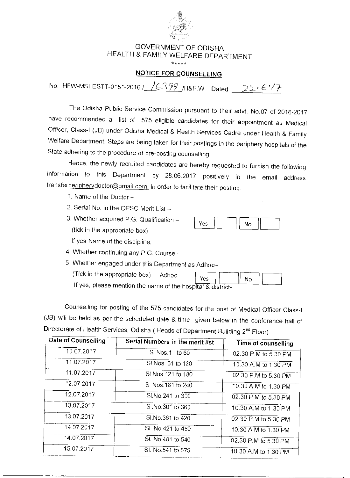

## GOVERNMENT OF ODISHA HEALTH & FAMILY WELFARE DEPARTMENT

\*\*\*\*\*

## NOTICE FOR COUNSELLING

No. HFW-MSI-ESTT-0151-2016 /  $/6399$  /H&F.W Dated 22.6/7

The Odisha Public Service Commission pursuant to their advt. No.07 of 2016-2017 have recommended a list of 575 eligible candidates for their appointment as Medical Officer, Class-I (JB) under Odisha Medical & Health Services Cadre under Health & Family Welfare Department. Steps are being taken for their postings in the periphery hospitals of the State adhering to the procedure of pre-posting counselling.

Hence, the newly recruited candidates are hereby requested to furnish the following information to this Department by 28.06.2017 positively in the email address transferperipherydoctor@gmail.com. in order to facilitate their posting.

- 1. Name of the Doctor —
- 2. Serial No. in the OPSC Merit List —
- 3. Whether acquired P.G. Qualification (tick in the appropriate box) If yes Name of the discipline.



No

- 4. Whether continuing any P.G. Course —
- 5. Whether engaged under this Department as Adhoc-

(Tick in the appropriate box) Adhoc

If yes, please mention the name of the hospital & district-

Counselling for posting of the 575 candidates for the post of Medical Officer Class-I (JB) will be held as per the scheduled date & time given below in the conference hall of Directorate of Health Services, Odisha ( Heads of Department Building 2<sup>nd</sup> Floor).

Yes

| Date of Counselling | Serial Numbers in the merit list | Time of counselling  |
|---------------------|----------------------------------|----------------------|
| 10.07.2017          | SI Nos.1 to 60                   | 02.30 P.M to 5.30 PM |
| 11.07.2017          | SI Nos. 61 to 120                | 10.30 A.M to 1.30 PM |
| 11.07.2017          | SI Nos. 121 to 180               | 02.30 P.M to 5.30 PM |
| 12.07.2017          | SI Nos. 181 to 240               | 10.30 A.M to 1.30 PM |
| 12.07.2017          | SI.No.241 to 300                 | 02.30 P.M to 5.30 PM |
| 13.07.2017          | SI.No.301 to 360                 | 10.30 A.M to 1.30 PM |
| 13.07.2017          | Sl.No.361 to 420                 | 02.30 P.M to 5.30 PM |
| 14.07.2017          | Sl. No.421 to 480                | 10.30 A.M to 1.30 PM |
| 14.07.2017          | SI. No. 481 to 540               | 02.30 P.M to 5.30 PM |
| 15.07.2017          | SI. No.541 to 575                | 10.30 A M to 1.30 PM |